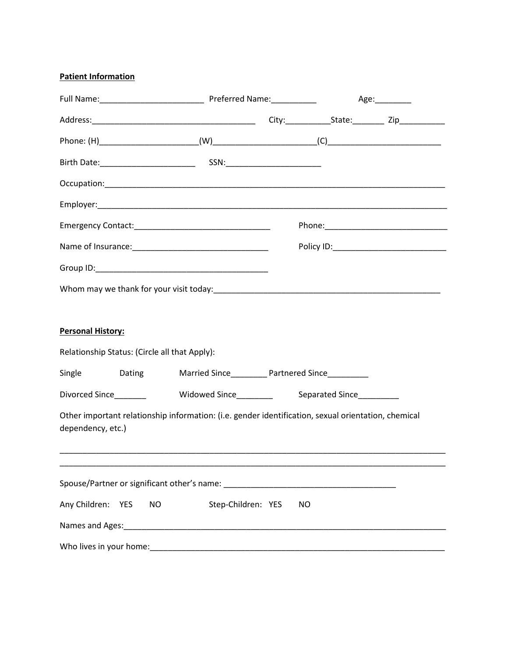## **Patient Information**

|                          |        |                                                                                                     |                                                    |    | Age:_________ |  |  |
|--------------------------|--------|-----------------------------------------------------------------------------------------------------|----------------------------------------------------|----|---------------|--|--|
|                          |        |                                                                                                     |                                                    |    |               |  |  |
|                          |        |                                                                                                     |                                                    |    |               |  |  |
|                          |        |                                                                                                     |                                                    |    |               |  |  |
|                          |        |                                                                                                     |                                                    |    |               |  |  |
|                          |        |                                                                                                     |                                                    |    |               |  |  |
|                          |        |                                                                                                     |                                                    |    |               |  |  |
|                          |        |                                                                                                     |                                                    |    |               |  |  |
|                          |        |                                                                                                     |                                                    |    |               |  |  |
|                          |        |                                                                                                     |                                                    |    |               |  |  |
| <b>Personal History:</b> |        | Relationship Status: (Circle all that Apply):                                                       |                                                    |    |               |  |  |
| Single                   | Dating |                                                                                                     | Married Since___________ Partnered Since__________ |    |               |  |  |
|                          |        | Divorced Since  __________ Widowed Since ________ Separated Since _________                         |                                                    |    |               |  |  |
| dependency, etc.)        |        | Other important relationship information: (i.e. gender identification, sexual orientation, chemical |                                                    |    |               |  |  |
|                          |        |                                                                                                     |                                                    |    |               |  |  |
| Any Children: YES        |        | <b>NO</b>                                                                                           | Step-Children: YES                                 | NO |               |  |  |
|                          |        |                                                                                                     |                                                    |    |               |  |  |
|                          |        |                                                                                                     |                                                    |    |               |  |  |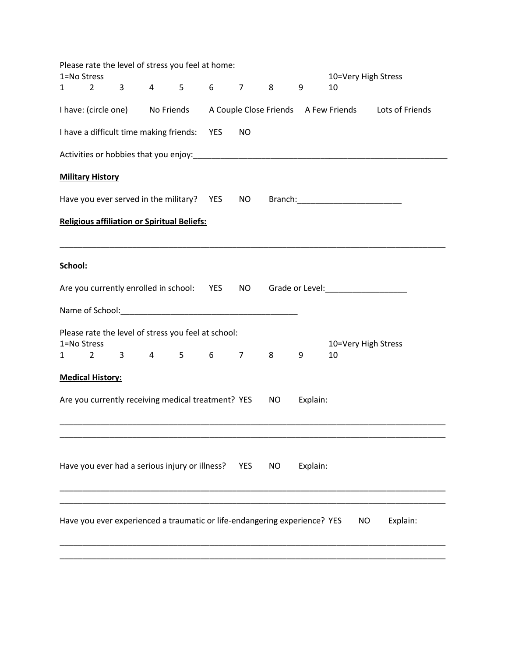|         |                                                    |  |                                                |     | Please rate the level of stress you feel at home:                                                  |            |           |          |                                                              |                                                                                      |
|---------|----------------------------------------------------|--|------------------------------------------------|-----|----------------------------------------------------------------------------------------------------|------------|-----------|----------|--------------------------------------------------------------|--------------------------------------------------------------------------------------|
| 1       | 1=No Stress<br>$2 \left( \frac{1}{2} \right)$      |  | $3^{\circ}$                                    | 4 5 | $6\qquad 7$                                                                                        |            | 8         | 9        | 10=Very High Stress<br>10                                    |                                                                                      |
|         |                                                    |  |                                                |     |                                                                                                    |            |           |          |                                                              | I have: (circle one) No Friends A Couple Close Friends A Few Friends Lots of Friends |
|         |                                                    |  | I have a difficult time making friends: YES    |     |                                                                                                    | <b>NO</b>  |           |          |                                                              |                                                                                      |
|         |                                                    |  |                                                |     |                                                                                                    |            |           |          |                                                              |                                                                                      |
|         | <b>Military History</b>                            |  |                                                |     |                                                                                                    |            |           |          |                                                              |                                                                                      |
|         |                                                    |  |                                                |     | Have you ever served in the military? YES NO                                                       |            |           |          |                                                              |                                                                                      |
|         | <b>Religious affiliation or Spiritual Beliefs:</b> |  |                                                |     |                                                                                                    |            |           |          |                                                              |                                                                                      |
| School: |                                                    |  |                                                |     |                                                                                                    |            |           |          |                                                              |                                                                                      |
|         |                                                    |  |                                                |     |                                                                                                    |            |           |          | Are you currently enrolled in school: YES NO Grade or Level: |                                                                                      |
|         |                                                    |  |                                                |     |                                                                                                    |            |           |          |                                                              |                                                                                      |
| 1       | 1=No Stress                                        |  |                                                |     | Please rate the level of stress you feel at school:<br>$2 \quad 3 \quad 4 \quad 5 \quad 6 \quad 7$ |            | $8 -$     | 9        | 10=Very High Stress<br>10                                    |                                                                                      |
|         | <b>Medical History:</b>                            |  |                                                |     |                                                                                                    |            |           |          |                                                              |                                                                                      |
|         |                                                    |  |                                                |     | Are you currently receiving medical treatment? YES                                                 |            | <b>NO</b> | Explain: |                                                              |                                                                                      |
|         |                                                    |  | Have you ever had a serious injury or illness? |     |                                                                                                    | <b>YES</b> | <b>NO</b> | Explain: |                                                              |                                                                                      |
|         |                                                    |  |                                                |     | Have you ever experienced a traumatic or life-endangering experience? YES                          |            |           |          | <b>NO</b>                                                    | Explain:                                                                             |
|         |                                                    |  |                                                |     |                                                                                                    |            |           |          |                                                              |                                                                                      |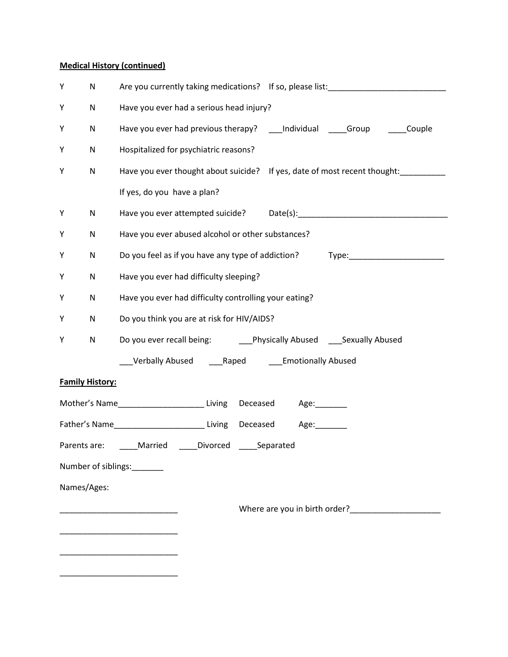## **Medical History (continued)**

| Υ                                                      | N                      | Are you currently taking medications? If so, please list: _______________________  |  |  |  |  |  |  |
|--------------------------------------------------------|------------------------|------------------------------------------------------------------------------------|--|--|--|--|--|--|
| Υ                                                      | N                      | Have you ever had a serious head injury?                                           |  |  |  |  |  |  |
| Υ                                                      | N                      | Have you ever had previous therapy? ____ Individual ______Group _________Couple    |  |  |  |  |  |  |
| Υ                                                      | N                      | Hospitalized for psychiatric reasons?                                              |  |  |  |  |  |  |
| Υ                                                      | N                      | Have you ever thought about suicide? If yes, date of most recent thought: ________ |  |  |  |  |  |  |
|                                                        |                        | If yes, do you have a plan?                                                        |  |  |  |  |  |  |
| Y                                                      | N                      |                                                                                    |  |  |  |  |  |  |
| Υ                                                      | N                      | Have you ever abused alcohol or other substances?                                  |  |  |  |  |  |  |
| Υ                                                      | N                      | Do you feel as if you have any type of addiction? Type: ________________________   |  |  |  |  |  |  |
| Υ                                                      | N                      | Have you ever had difficulty sleeping?                                             |  |  |  |  |  |  |
| Y                                                      | N                      | Have you ever had difficulty controlling your eating?                              |  |  |  |  |  |  |
| Υ                                                      | N                      | Do you think you are at risk for HIV/AIDS?                                         |  |  |  |  |  |  |
| Υ                                                      | N                      | Do you ever recall being: _________Physically Abused ______Sexually Abused         |  |  |  |  |  |  |
|                                                        |                        | ___Verbally Abused _____Raped _______Emotionally Abused                            |  |  |  |  |  |  |
|                                                        | <b>Family History:</b> |                                                                                    |  |  |  |  |  |  |
|                                                        |                        | Mother's Name____________________________Living Deceased Age:________              |  |  |  |  |  |  |
|                                                        |                        |                                                                                    |  |  |  |  |  |  |
| Parents are: _____Married _____Divorced _____Separated |                        |                                                                                    |  |  |  |  |  |  |
| Number of siblings:                                    |                        |                                                                                    |  |  |  |  |  |  |
| Names/Ages:                                            |                        |                                                                                    |  |  |  |  |  |  |
|                                                        |                        | Where are you in birth order?                                                      |  |  |  |  |  |  |
|                                                        |                        |                                                                                    |  |  |  |  |  |  |
|                                                        |                        |                                                                                    |  |  |  |  |  |  |
|                                                        |                        |                                                                                    |  |  |  |  |  |  |
|                                                        |                        |                                                                                    |  |  |  |  |  |  |